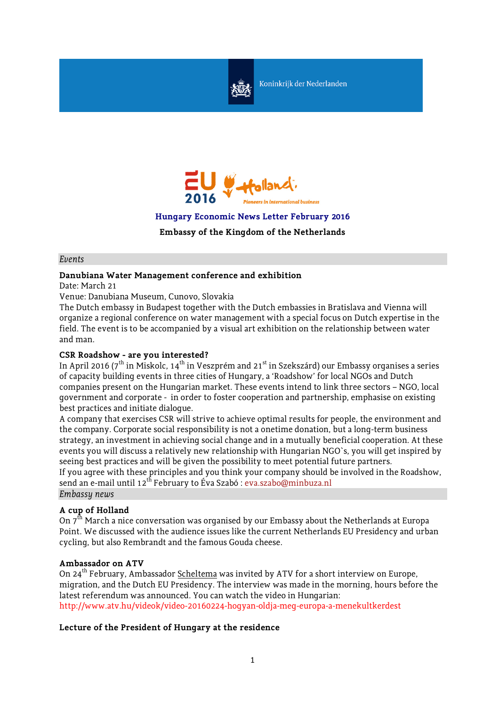

Koninkrijk der Nederlanden



**Hungary Economic News Letter February 2016**

**Embassy of the Kingdom of the Netherlands**

#### *Events*

# **Danubiana Water Management conference and exhibition**

Date: March 21

Venue: Danubiana Museum, Cunovo, Slovakia

The Dutch embassy in Budapest together with the Dutch embassies in Bratislava and Vienna will organize a regional conference on water management with a special focus on Dutch expertise in the field. The event is to be accompanied by a visual art exhibition on the relationship between water and man.

### **CSR Roadshow - are you interested?**

In April 2016 (7<sup>th</sup> in Miskolc, 14<sup>th</sup> in Veszprém and 21<sup>st</sup> in Szekszárd) our Embassy organises a series of capacity building events in three cities of Hungary, a 'Roadshow' for local NGOs and Dutch companies present on the Hungarian market. These events intend to link three sectors – NGO, local government and corporate - in order to foster cooperation and partnership, emphasise on existing best practices and initiate dialogue.

A company that exercises CSR will strive to achieve optimal results for people, the environment and the company. Corporate social responsibility is not a onetime donation, but a long-term business strategy, an investment in achieving social change and in a mutually beneficial cooperation. At these events you will discuss a relatively new relationship with Hungarian NGO`s, you will get inspired by seeing best practices and will be given the possibility to meet potential future partners. If you agree with these principles and you think your company should be involved in the Roadshow, send an e-mail until 12<sup>th</sup> February to Éva Szabó : [eva.szabo@minbuza.nl](mailto:eva.szabo@minbuza.nl) *Embassy news*

# **A cup of Holland**

On  $7<sup>th</sup>$  March a nice conversation was organised by our Embassy about the Netherlands at Europa Point. We discussed with the audience issues like the current Netherlands EU Presidency and urban cycling, but also Rembrandt and the famous Gouda cheese.

#### **Ambassador on ATV**

On 24<sup>th</sup> February, Ambassador Scheltema was invited by ATV for a short interview on Europe, migration, and the Dutch EU Presidency. The interview was made in the morning, hours before the latest referendum was announced. You can watch the video in Hungarian: http://www.atv.hu/videok/video-20160224-hogyan-oldja-meg-europa-a-menekultkerdest

# **Lecture of the President of Hungary at the residence**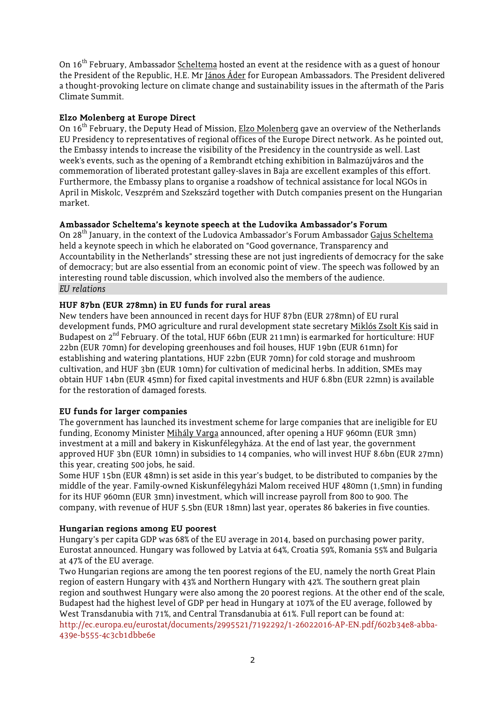On 16<sup>th</sup> February, Ambassador Scheltema hosted an event at the residence with as a quest of honour the President of the Republic, H.E. Mr János Áder for European Ambassadors. The President delivered a thought-provoking lecture on climate change and sustainability issues in the aftermath of the Paris Climate Summit.

## **Elzo Molenberg at Europe Direct**

On 16<sup>th</sup> February, the Deputy Head of Mission, Elzo Molenberg gave an overview of the Netherlands EU Presidency to representatives of regional offices of the Europe Direct network. As he pointed out, the Embassy intends to increase the visibility of the Presidency in the countryside as well. Last week's events, such as the opening of a Rembrandt etching exhibition in Balmazújváros and the commemoration of liberated protestant galley-slaves in Baja are excellent examples of this effort. Furthermore, the Embassy plans to organise a roadshow of technical assistance for local NGOs in April in Miskolc, Veszprém and Szekszárd together with Dutch companies present on the Hungarian market.

# **Ambassador Scheltema's keynote speech at the Ludovika Ambassador's Forum**

On 28th January, in the context of the Ludovica Ambassador's Forum Ambassador Gajus Scheltema held a keynote speech in which he elaborated on "Good governance, Transparency and Accountability in the Netherlands" stressing these are not just ingredients of democracy for the sake of democracy; but are also essential from an economic point of view. The speech was followed by an interesting round table discussion, which involved also the members of the audience. *EU relations*

# **HUF 87bn (EUR 278mn) in EU funds for rural areas**

New tenders have been announced in recent days for HUF 87bn (EUR 278mn) of EU rural development funds, PMO agriculture and rural development state secretary Miklós Zsolt Kis said in Budapest on  $2<sup>nd</sup>$  February. Of the total, HUF 66bn (EUR 211mn) is earmarked for horticulture: HUF 22bn (EUR 70mn) for developing greenhouses and foil houses, HUF 19bn (EUR 61mn) for establishing and watering plantations, HUF 22bn (EUR 70mn) for cold storage and mushroom cultivation, and HUF 3bn (EUR 10mn) for cultivation of medicinal herbs. In addition, SMEs may obtain HUF 14bn (EUR 45mn) for fixed capital investments and HUF 6.8bn (EUR 22mn) is available for the restoration of damaged forests.

# **EU funds for larger companies**

The government has launched its investment scheme for large companies that are ineligible for EU funding, Economy Minister Mihály Varga announced, after opening a HUF 960mn (EUR 3mn) investment at a mill and bakery in Kiskunfélegyháza. At the end of last year, the government approved HUF 3bn (EUR 10mn) in subsidies to 14 companies, who will invest HUF 8.6bn (EUR 27mn) this year, creating 500 jobs, he said.

Some HUF 15bn (EUR 48mn) is set aside in this year's budget, to be distributed to companies by the middle of the year. Family-owned Kiskunfélegyházi Malom received HUF 480mn (1,5mn) in funding for its HUF 960mn (EUR 3mn) investment, which will increase payroll from 800 to 900. The company, with revenue of HUF 5.5bn (EUR 18mn) last year, operates 86 bakeries in five counties.

#### **Hungarian regions among EU poorest**

Hungary's per capita GDP was 68% of the EU average in 2014, based on purchasing power parity, Eurostat announced. Hungary was followed by Latvia at 64%, Croatia 59%, Romania 55% and Bulgaria at 47% of the EU average.

Two Hungarian regions are among the ten poorest regions of the EU, namely the north Great Plain region of eastern Hungary with 43% and Northern Hungary with 42%. The southern great plain region and southwest Hungary were also among the 20 poorest regions. At the other end of the scale, Budapest had the highest level of GDP per head in Hungary at 107% of the EU average, followed by West Transdanubia with 71%, and Central Transdanubia at 61%. Full report can be found at: [http://ec.europa.eu/eurostat/documents/2995521/7192292/1-26022016-AP-EN.pdf/602b34e8-abba-](http://ec.europa.eu/eurostat/documents/2995521/7192292/1-26022016-AP-EN.pdf/602b34e8-abba-439e-b555-4c3cb1dbbe6e)[439e-b555-4c3cb1dbbe6e](http://ec.europa.eu/eurostat/documents/2995521/7192292/1-26022016-AP-EN.pdf/602b34e8-abba-439e-b555-4c3cb1dbbe6e)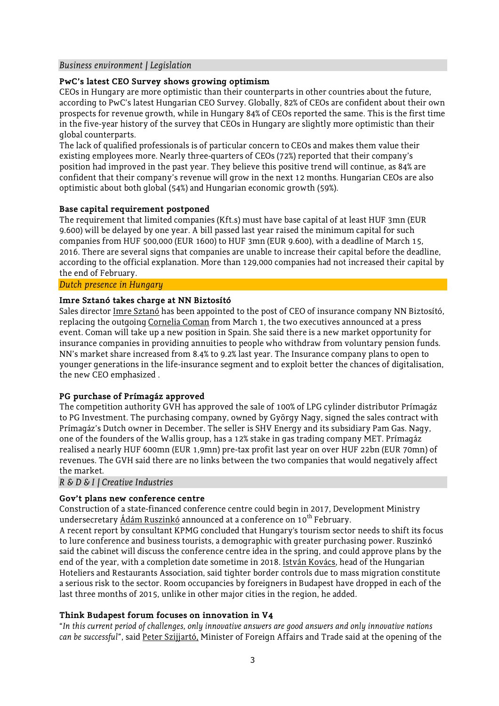### *Business environment / Legislation*

# **PwC's latest CEO Survey shows growing optimism**

CEOs in Hungary are more optimistic than their counterparts in other countries about the future, according to PwC's latest Hungarian CEO Survey. Globally, 82% of CEOs are confident about their own prospects for revenue growth, while in Hungary 84% of CEOs reported the same. This is the first time in the five-year history of the survey that CEOs in Hungary are slightly more optimistic than their global counterparts.

The lack of qualified professionals is of particular concern to CEOs and makes them value their existing employees more. Nearly three-quarters of CEOs (72%) reported that their company's position had improved in the past year. They believe this positive trend will continue, as 84% are confident that their company's revenue will grow in the next 12 months. Hungarian CEOs are also optimistic about both global (54%) and Hungarian economic growth (59%).

### **Base capital requirement postponed**

The requirement that limited companies (Kft.s) must have base capital of at least HUF 3mn (EUR 9.600) will be delayed by one year. A bill passed last year raised the minimum capital for such companies from HUF 500,000 (EUR 1600) to HUF 3mn (EUR 9.600), with a deadline of March 15, 2016. There are several signs that companies are unable to increase their capital before the deadline, according to the official explanation. More than 129,000 companies had not increased their capital by the end of February.

#### *Dutch presence in Hungary*

### **Imre Sztanó takes charge at NN Biztosító**

Sales director Imre Sztanó has been appointed to the post of CEO of insurance company NN Biztosító, replacing the outgoing Cornelia Coman from March 1, the two executives announced at a press event. Coman will take up a new position in Spain. She said there is a new market opportunity for insurance companies in providing annuities to people who withdraw from voluntary pension funds. NN's market share increased from 8.4% to 9.2% last year. The Insurance company plans to open to younger generations in the life-insurance segment and to exploit better the chances of digitalisation, the new CEO emphasized .

#### **PG purchase of Prímagáz approved**

The competition authority GVH has approved the sale of 100% of LPG cylinder distributor Prímagáz to PG Investment. The purchasing company, owned by György Nagy, signed the sales contract with Prímagáz's Dutch owner in December. The seller is SHV Energy and its subsidiary Pam Gas. Nagy, one of the founders of the Wallis group, has a 12% stake in gas trading company MET. Prímagáz realised a nearly HUF 600mn (EUR 1,9mn) pre-tax profit last year on over HUF 22bn (EUR 70mn) of revenues. The GVH said there are no links between the two companies that would negatively affect the market.

*R & D & I / Creative Industries*

#### **Gov't plans new conference centre**

Construction of a state-financed conference centre could begin in 2017, Development Ministry undersecretary Ádám Ruszinkó announced at a conference on 10<sup>th</sup> February.

A recent report by consultant KPMG concluded that Hungary's tourism sector needs to shift its focus to lure conference and business tourists, a demographic with greater purchasing power. Ruszinkó said the cabinet will discuss the conference centre idea in the spring, and could approve plans by the end of the year, with a completion date sometime in 2018. István Kovács, head of the Hungarian Hoteliers and Restaurants Association, said tighter border controls due to mass migration constitute a serious risk to the sector. Room occupancies by foreigners in Budapest have dropped in each of the last three months of 2015, unlike in other major cities in the region, he added.

#### **Think Budapest forum focuses on innovation in V4**

"*In this current period of challenges, only innovative answers are good answers and only innovative nations can be successful*", said Peter Szijjartó, Minister of Foreign Affairs and Trade said at the opening of the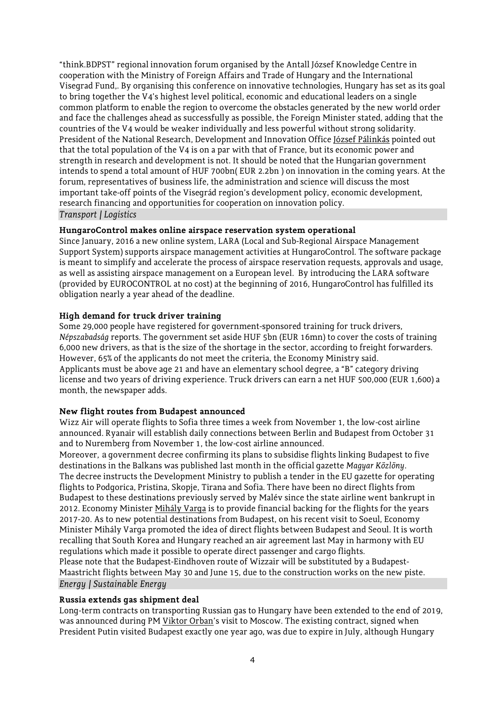"think.BDPST" regional innovation forum organised by the Antall József Knowledge Centre in cooperation with the Ministry of Foreign Affairs and Trade of Hungary and the International Visegrad Fund,. By organising this conference on innovative technologies, Hungary has set as its goal to bring together the V4's highest level political, economic and educational leaders on a single common platform to enable the region to overcome the obstacles generated by the new world order and face the challenges ahead as successfully as possible, the Foreign Minister stated, adding that the countries of the V4 would be weaker individually and less powerful without strong solidarity. President of the National Research, Development and Innovation Office József Pálinkás pointed out that the total population of the V4 is on a par with that of France, but its economic power and strength in research and development is not. It should be noted that the Hungarian government intends to spend a total amount of HUF 700bn( EUR 2.2bn ) on innovation in the coming years. At the forum, representatives of business life, the administration and science will discuss the most important take-off points of the Visegrád region's development policy, economic development, research financing and opportunities for cooperation on innovation policy. *Transport / Logistics*

# **HungaroControl makes online airspace reservation system operational**

Since January, 2016 a new online system, LARA (Local and Sub-Regional Airspace Management Support System) supports airspace management activities at HungaroControl. The software package is meant to simplify and accelerate the process of airspace reservation requests, approvals and usage, as well as assisting airspace management on a European level. By introducing the LARA software (provided by EUROCONTROL at no cost) at the beginning of 2016, HungaroControl has fulfilled its obligation nearly a year ahead of the deadline.

# **High demand for truck driver training**

Some 29,000 people have registered for government-sponsored training for truck drivers, *Népszabadság* reports. The government set aside HUF 5bn (EUR 16mn) to cover the costs of training 6,000 new drivers, as that is the size of the shortage in the sector, according to freight forwarders. However, 65% of the applicants do not meet the criteria, the Economy Ministry said. Applicants must be above age 21 and have an elementary school degree, a "B" category driving license and two years of driving experience. Truck drivers can earn a net HUF 500,000 (EUR 1,600) a month, the newspaper adds.

#### **New flight routes from Budapest announced**

Wizz Air will operate flights to Sofia three times a week from November 1, the low-cost airline announced. Ryanair will establish daily connections between Berlin and Budapest from October 31 and to Nuremberg from November 1, the low-cost airline announced.

Moreover, a government decree confirming its plans to subsidise flights linking Budapest to five destinations in the Balkans was published last month in the official gazette *Magyar Közlöny*. The decree instructs the Development Ministry to publish a tender in the EU gazette for operating flights to Podgorica, Pristina, Skopje, Tirana and Sofia. There have been no direct flights from Budapest to these destinations previously served by Malév since the state airline went bankrupt in 2012. Economy Minister Mihály Varga is to provide financial backing for the flights for the years 2017-20. As to new potential destinations from Budapest, on his recent visit to Soeul, Economy Minister Mihály Varga promoted the idea of direct flights between Budapest and Seoul. It is worth recalling that South Korea and Hungary reached an air agreement last May in harmony with EU regulations which made it possible to operate direct passenger and cargo flights. Please note that the Budapest-Eindhoven route of Wizzair will be substituted by a Budapest-Maastricht flights between May 30 and June 15, due to the construction works on the new piste. *Energy / Sustainable Energy*

#### **Russia extends gas shipment deal**

Long-term contracts on transporting Russian gas to Hungary have been extended to the end of 2019, was announced during PM Viktor Orban's visit to Moscow. The existing contract, signed when President Putin visited Budapest exactly one year ago, was due to expire in July, although Hungary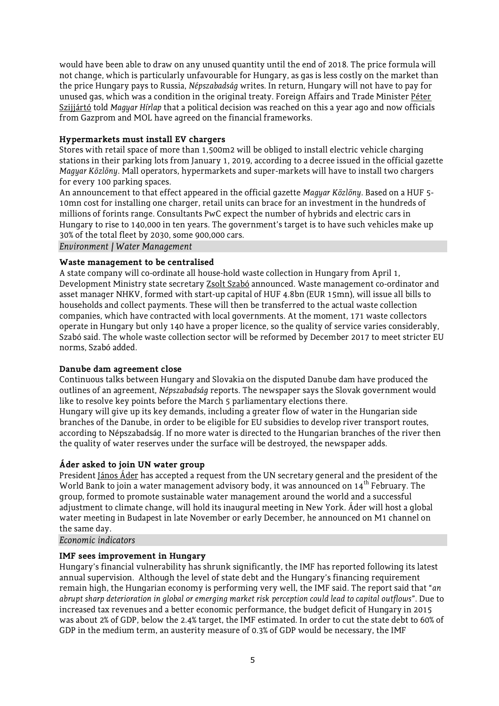would have been able to draw on any unused quantity until the end of 2018. The price formula will not change, which is particularly unfavourable for Hungary, as gas is less costly on the market than the price Hungary pays to Russia, *Népszabadság* writes. In return, Hungary will not have to pay for unused gas, which was a condition in the original treaty. Foreign Affairs and Trade Minister Péter Szijjártó told *Magyar Hírlap* that a political decision was reached on this a year ago and now officials from Gazprom and MOL have agreed on the financial frameworks.

## **Hypermarkets must install EV chargers**

Stores with retail space of more than 1,500m2 will be obliged to install electric vehicle charging stations in their parking lots from January 1, 2019, according to a decree issued in the official gazette *Magyar Közlöny*. Mall operators, hypermarkets and super-markets will have to install two chargers for every 100 parking spaces.

An announcement to that effect appeared in the official gazette *Magyar Közlöny*. Based on a HUF 5- 10mn cost for installing one charger, retail units can brace for an investment in the hundreds of millions of forints range. Consultants PwC expect the number of hybrids and electric cars in Hungary to rise to 140,000 in ten years. The government's target is to have such vehicles make up 30% of the total fleet by 2030, some 900,000 cars.

*Environment / Water Management*

### **Waste management to be centralised**

A state company will co-ordinate all house-hold waste collection in Hungary from April 1, Development Ministry state secretary Zsolt Szabó announced. Waste management co-ordinator and asset manager NHKV, formed with start-up capital of HUF 4.8bn (EUR 15mn), will issue all bills to households and collect payments. These will then be transferred to the actual waste collection companies, which have contracted with local governments. At the moment, 171 waste collectors operate in Hungary but only 140 have a proper licence, so the quality of service varies considerably, Szabó said. The whole waste collection sector will be reformed by December 2017 to meet stricter EU norms, Szabó added.

#### **Danube dam agreement close**

Continuous talks between Hungary and Slovakia on the disputed Danube dam have produced the outlines of an agreement, *Népszabadság* reports. The newspaper says the Slovak government would like to resolve key points before the March 5 parliamentary elections there. Hungary will give up its key demands, including a greater flow of water in the Hungarian side

branches of the Danube, in order to be eligible for EU subsidies to develop river transport routes, according to Népszabadság. If no more water is directed to the Hungarian branches of the river then the quality of water reserves under the surface will be destroyed, the newspaper adds.

#### **Áder asked to join UN water group**

President János Áder has accepted a request from the UN secretary general and the president of the World Bank to join a water management advisory body, it was announced on  $14^{th}$  February. The group, formed to promote sustainable water management around the world and a successful adjustment to climate change, will hold its inaugural meeting in New York. Áder will host a global water meeting in Budapest in late November or early December, he announced on M1 channel on the same day.

*Economic indicators*

### **IMF sees improvement in Hungary**

Hungary's financial vulnerability has shrunk significantly, the IMF has reported following its latest annual supervision. Although the level of state debt and the Hungary's financing requirement remain high, the Hungarian economy is performing very well, the IMF said. The report said that "*an abrupt sharp deterioration in global or emerging market risk perception could lead to capital outflows*". Due to increased tax revenues and a better economic performance, the budget deficit of Hungary in 2015 was about 2% of GDP, below the 2.4% target, the IMF estimated. In order to cut the state debt to 60% of GDP in the medium term, an austerity measure of 0.3% of GDP would be necessary, the IMF